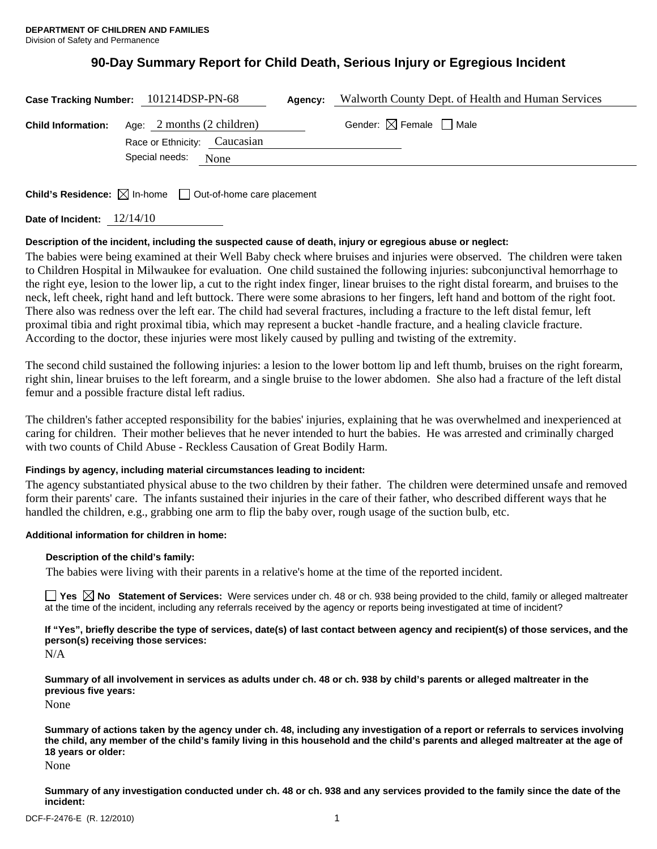# **90-Day Summary Report for Child Death, Serious Injury or Egregious Incident**

| Case Tracking Number: 101214DSP-PN-68                                                | Agency: | Walworth County Dept. of Health and Human Services |
|--------------------------------------------------------------------------------------|---------|----------------------------------------------------|
| <b>Child Information:</b> Age: 2 months (2 children)<br>Race or Ethnicity: Caucasian |         | Gender: $\boxtimes$ Female $\Box$ Male             |
| Special needs:<br>None                                                               |         |                                                    |

**Child's Residence:**  $\boxtimes$  In-home  $\Box$  Out-of-home care placement

| 12/14/10<br>Date of Incident: |
|-------------------------------|
|-------------------------------|

# **Description of the incident, including the suspected cause of death, injury or egregious abuse or neglect:**

The babies were being examined at their Well Baby check where bruises and injuries were observed. The children were taken to Children Hospital in Milwaukee for evaluation. One child sustained the following injuries: subconjunctival hemorrhage to the right eye, lesion to the lower lip, a cut to the right index finger, linear bruises to the right distal forearm, and bruises to the neck, left cheek, right hand and left buttock. There were some abrasions to her fingers, left hand and bottom of the right foot. There also was redness over the left ear. The child had several fractures, including a fracture to the left distal femur, left proximal tibia and right proximal tibia, which may represent a bucket -handle fracture, and a healing clavicle fracture. According to the doctor, these injuries were most likely caused by pulling and twisting of the extremity.

The second child sustained the following injuries: a lesion to the lower bottom lip and left thumb, bruises on the right forearm, right shin, linear bruises to the left forearm, and a single bruise to the lower abdomen. She also had a fracture of the left distal femur and a possible fracture distal left radius.

The children's father accepted responsibility for the babies' injuries, explaining that he was overwhelmed and inexperienced at caring for children. Their mother believes that he never intended to hurt the babies. He was arrested and criminally charged with two counts of Child Abuse - Reckless Causation of Great Bodily Harm.

# **Findings by agency, including material circumstances leading to incident:**

The agency substantiated physical abuse to the two children by their father. The children were determined unsafe and removed form their parents' care. The infants sustained their injuries in the care of their father, who described different ways that he handled the children, e.g., grabbing one arm to flip the baby over, rough usage of the suction bulb, etc.

# **Additional information for children in home:**

# **Description of the child's family:**

The babies were living with their parents in a relative's home at the time of the reported incident.

■ Yes △ No Statement of Services: Were services under ch. 48 or ch. 938 being provided to the child, family or alleged maltreater at the time of the incident, including any referrals received by the agency or reports being investigated at time of incident?

**If "Yes", briefly describe the type of services, date(s) of last contact between agency and recipient(s) of those services, and the person(s) receiving those services:** 

N/A

**Summary of all involvement in services as adults under ch. 48 or ch. 938 by child's parents or alleged maltreater in the previous five years:** 

None

**Summary of actions taken by the agency under ch. 48, including any investigation of a report or referrals to services involving the child, any member of the child's family living in this household and the child's parents and alleged maltreater at the age of 18 years or older:** 

None

**Summary of any investigation conducted under ch. 48 or ch. 938 and any services provided to the family since the date of the incident:**